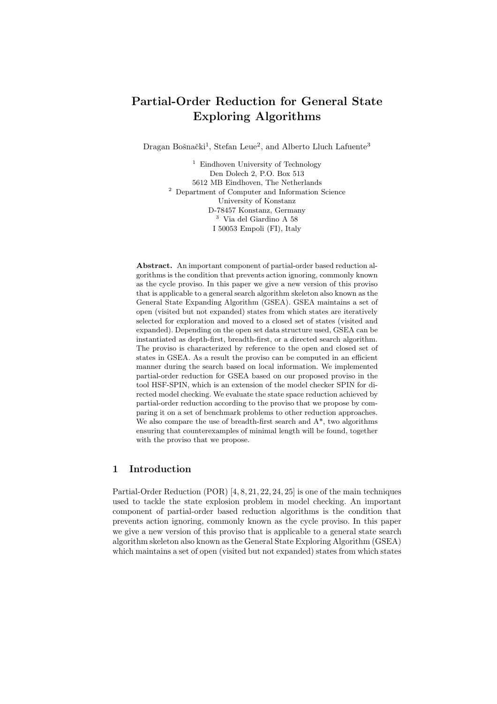# Partial-Order Reduction for General State Exploring Algorithms

Dragan Bošnački<sup>1</sup>, Stefan Leue<sup>2</sup>, and Alberto Lluch Lafuente<sup>3</sup>

<sup>1</sup> Eindhoven University of Technology Den Dolech 2, P.O. Box 513 5612 MB Eindhoven, The Netherlands <sup>2</sup> Department of Computer and Information Science University of Konstanz D-78457 Konstanz, Germany <sup>3</sup> Via del Giardino A 58 I 50053 Empoli (FI), Italy

Abstract. An important component of partial-order based reduction algorithms is the condition that prevents action ignoring, commonly known as the cycle proviso. In this paper we give a new version of this proviso that is applicable to a general search algorithm skeleton also known as the General State Expanding Algorithm (GSEA). GSEA maintains a set of open (visited but not expanded) states from which states are iteratively selected for exploration and moved to a closed set of states (visited and expanded). Depending on the open set data structure used, GSEA can be instantiated as depth-first, breadth-first, or a directed search algorithm. The proviso is characterized by reference to the open and closed set of states in GSEA. As a result the proviso can be computed in an efficient manner during the search based on local information. We implemented partial-order reduction for GSEA based on our proposed proviso in the tool HSF-SPIN, which is an extension of the model checker SPIN for directed model checking. We evaluate the state space reduction achieved by partial-order reduction according to the proviso that we propose by comparing it on a set of benchmark problems to other reduction approaches. We also compare the use of breadth-first search and  $A^*$ , two algorithms ensuring that counterexamples of minimal length will be found, together with the proviso that we propose.

## 1 Introduction

Partial-Order Reduction (POR) [4, 8, 21, 22, 24, 25] is one of the main techniques used to tackle the state explosion problem in model checking. An important component of partial-order based reduction algorithms is the condition that prevents action ignoring, commonly known as the cycle proviso. In this paper we give a new version of this proviso that is applicable to a general state search algorithm skeleton also known as the General State Exploring Algorithm (GSEA) which maintains a set of open (visited but not expanded) states from which states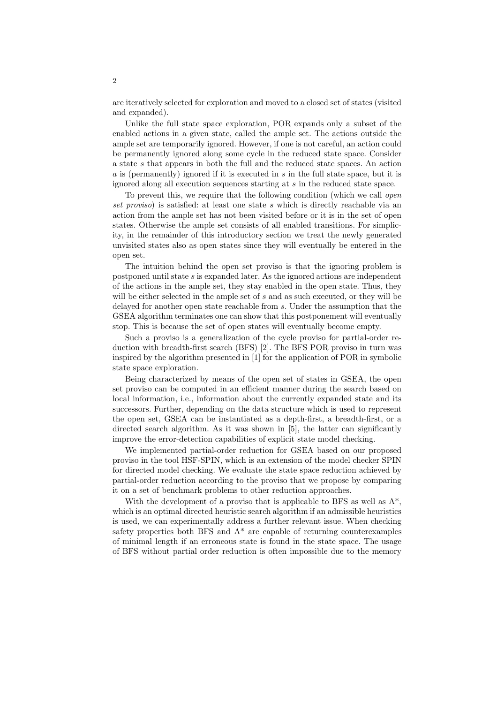are iteratively selected for exploration and moved to a closed set of states (visited and expanded).

Unlike the full state space exploration, POR expands only a subset of the enabled actions in a given state, called the ample set. The actions outside the ample set are temporarily ignored. However, if one is not careful, an action could be permanently ignored along some cycle in the reduced state space. Consider a state s that appears in both the full and the reduced state spaces. An action a is (permanently) ignored if it is executed in s in the full state space, but it is ignored along all execution sequences starting at s in the reduced state space.

To prevent this, we require that the following condition (which we call *open*) set proviso) is satisfied: at least one state s which is directly reachable via an action from the ample set has not been visited before or it is in the set of open states. Otherwise the ample set consists of all enabled transitions. For simplicity, in the remainder of this introductory section we treat the newly generated unvisited states also as open states since they will eventually be entered in the open set.

The intuition behind the open set proviso is that the ignoring problem is postponed until state s is expanded later. As the ignored actions are independent of the actions in the ample set, they stay enabled in the open state. Thus, they will be either selected in the ample set of s and as such executed, or they will be delayed for another open state reachable from s. Under the assumption that the GSEA algorithm terminates one can show that this postponement will eventually stop. This is because the set of open states will eventually become empty.

Such a proviso is a generalization of the cycle proviso for partial-order reduction with breadth-first search (BFS) [2]. The BFS POR proviso in turn was inspired by the algorithm presented in [1] for the application of POR in symbolic state space exploration.

Being characterized by means of the open set of states in GSEA, the open set proviso can be computed in an efficient manner during the search based on local information, i.e., information about the currently expanded state and its successors. Further, depending on the data structure which is used to represent the open set, GSEA can be instantiated as a depth-first, a breadth-first, or a directed search algorithm. As it was shown in [5], the latter can significantly improve the error-detection capabilities of explicit state model checking.

We implemented partial-order reduction for GSEA based on our proposed proviso in the tool HSF-SPIN, which is an extension of the model checker SPIN for directed model checking. We evaluate the state space reduction achieved by partial-order reduction according to the proviso that we propose by comparing it on a set of benchmark problems to other reduction approaches.

With the development of a proviso that is applicable to BFS as well as  $A^*$ , which is an optimal directed heuristic search algorithm if an admissible heuristics is used, we can experimentally address a further relevant issue. When checking safety properties both BFS and A\* are capable of returning counterexamples of minimal length if an erroneous state is found in the state space. The usage of BFS without partial order reduction is often impossible due to the memory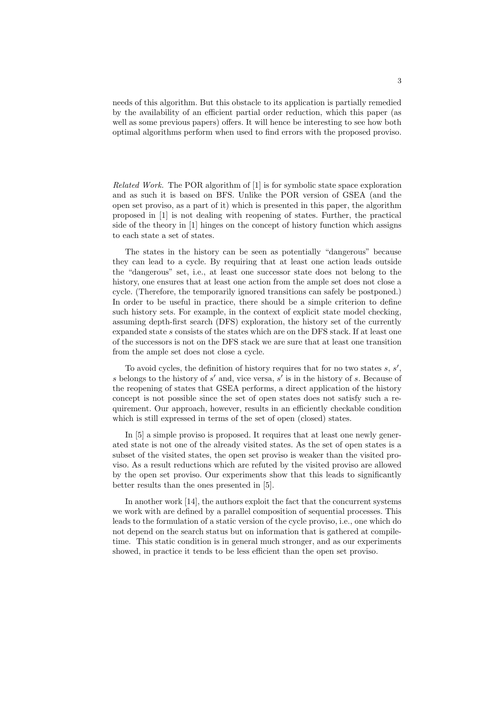needs of this algorithm. But this obstacle to its application is partially remedied by the availability of an efficient partial order reduction, which this paper (as well as some previous papers) offers. It will hence be interesting to see how both optimal algorithms perform when used to find errors with the proposed proviso.

Related Work. The POR algorithm of [1] is for symbolic state space exploration and as such it is based on BFS. Unlike the POR version of GSEA (and the open set proviso, as a part of it) which is presented in this paper, the algorithm proposed in [1] is not dealing with reopening of states. Further, the practical side of the theory in [1] hinges on the concept of history function which assigns to each state a set of states.

The states in the history can be seen as potentially "dangerous" because they can lead to a cycle. By requiring that at least one action leads outside the "dangerous" set, i.e., at least one successor state does not belong to the history, one ensures that at least one action from the ample set does not close a cycle. (Therefore, the temporarily ignored transitions can safely be postponed.) In order to be useful in practice, there should be a simple criterion to define such history sets. For example, in the context of explicit state model checking, assuming depth-first search (DFS) exploration, the history set of the currently expanded state s consists of the states which are on the DFS stack. If at least one of the successors is not on the DFS stack we are sure that at least one transition from the ample set does not close a cycle.

To avoid cycles, the definition of history requires that for no two states  $s, s'$ , s belongs to the history of s' and, vice versa, s' is in the history of s. Because of the reopening of states that GSEA performs, a direct application of the history concept is not possible since the set of open states does not satisfy such a requirement. Our approach, however, results in an efficiently checkable condition which is still expressed in terms of the set of open (closed) states.

In [5] a simple proviso is proposed. It requires that at least one newly generated state is not one of the already visited states. As the set of open states is a subset of the visited states, the open set proviso is weaker than the visited proviso. As a result reductions which are refuted by the visited proviso are allowed by the open set proviso. Our experiments show that this leads to significantly better results than the ones presented in [5].

In another work [14], the authors exploit the fact that the concurrent systems we work with are defined by a parallel composition of sequential processes. This leads to the formulation of a static version of the cycle proviso, i.e., one which do not depend on the search status but on information that is gathered at compiletime. This static condition is in general much stronger, and as our experiments showed, in practice it tends to be less efficient than the open set proviso.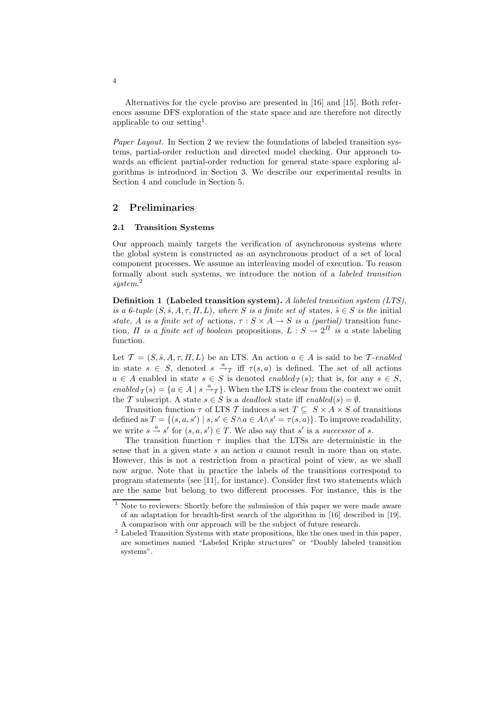Alternatives for the cycle proviso are presented in [16] and [15]. Both references assume DFS exploration of the state space and are therefore not directly applicable to our setting<sup>1</sup>.

Paper Layout. In Section 2 we review the foundations of labeled transition systems, partial-order reduction and directed model checking. Our approach towards an efficient partial-order reduction for general state space exploring algorithms is introduced in Section 3. We describe our experimental results in Section 4 and conclude in Section 5.

## 2 Preliminaries

#### 2.1 Transition Systems

Our approach mainly targets the verification of asynchronous systems where the global system is constructed as an asynchronous product of a set of local component processes. We assume an interleaving model of execution. To reason formally about such systems, we introduce the notion of a labeled transition system. 2

Definition 1 (Labeled transition system). A labeled transition system (LTS), is a 6-tuple  $(S, \hat{s}, A, \tau, \Pi, L)$ , where S is a finite set of states,  $\hat{s} \in S$  is the initial state, A is a finite set of actions,  $\tau : S \times A \rightarrow S$  is a (partial) transition function,  $\Pi$  is a finite set of boolean propositions,  $L : S \to 2^{\Pi}$  is a state labeling function.

Let  $\mathcal{T} = (S, \hat{s}, A, \tau, \Pi, L)$  be an LTS. An action  $a \in A$  is said to be T-enabled in state  $s \in S$ , denoted  $s \stackrel{a}{\rightarrow} \tau$  iff  $\tau(s,a)$  is defined. The set of all actions  $a \in A$  enabled in state  $s \in S$  is denoted enabled  $\tau(s)$ ; that is, for any  $s \in S$ , enabled  $\tau(s) = \{a \in A \mid s \stackrel{a}{\rightarrow} \tau\}$ . When the LTS is clear from the context we omit the T subscript. A state  $s \in S$  is a *deadlock* state iff enabled(s) =  $\emptyset$ .

Transition function  $\tau$  of LTS T induces a set  $T \subseteq S \times A \times S$  of transitions defined as  $T = \{(s, a, s') \mid s, s' \in S \land a \in A \land s' = \tau(s, a)\}.$  To improve readability, we write  $s \stackrel{a}{\rightarrow} s'$  for  $(s, a, s') \in T$ . We also say that s' is a successor of s.

The transition function  $\tau$  implies that the LTSs are deterministic in the sense that in a given state  $s$  an action  $a$  cannot result in more than on state. However, this is not a restriction from a practical point of view, as we shall now argue. Note that in practice the labels of the transitions correspond to program statements (see [11], for instance). Consider first two statements which are the same but belong to two different processes. For instance, this is the

4

<sup>&</sup>lt;sup>1</sup> Note to reviewers: Shortly before the submission of this paper we were made aware of an adaptation for breadth-first search of the algorithm in [16] described in [19]. A comparison with our approach will be the subject of future research.

<sup>2</sup> Labeled Transition Systems with state propositions, like the ones used in this paper, are sometimes named "Labeled Kripke structures" or "Doubly labeled transition systems".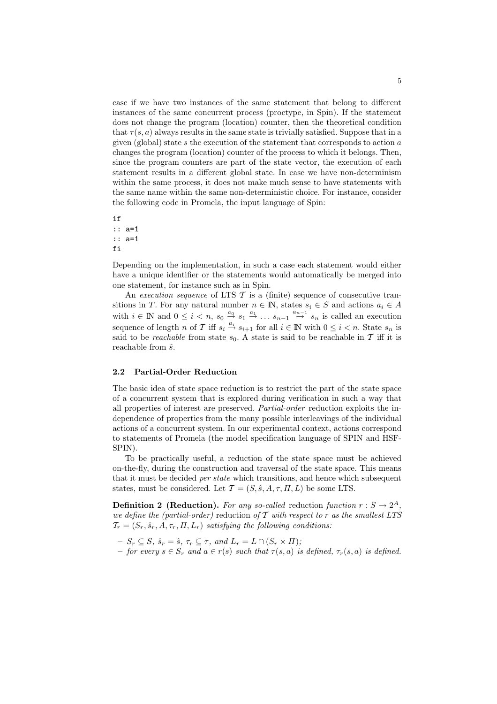case if we have two instances of the same statement that belong to different instances of the same concurrent process (proctype, in Spin). If the statement does not change the program (location) counter, then the theoretical condition that  $\tau(s, a)$  always results in the same state is trivially satisfied. Suppose that in a given (global) state s the execution of the statement that corresponds to action  $a$ changes the program (location) counter of the process to which it belongs. Then, since the program counters are part of the state vector, the execution of each statement results in a different global state. In case we have non-determinism within the same process, it does not make much sense to have statements with the same name within the same non-deterministic choice. For instance, consider the following code in Promela, the input language of Spin:

if :: a=1 :: a=1 fi

Depending on the implementation, in such a case each statement would either have a unique identifier or the statements would automatically be merged into one statement, for instance such as in Spin.

An execution sequence of LTS  $\mathcal T$  is a (finite) sequence of consecutive transitions in T. For any natural number  $n \in \mathbb{N}$ , states  $s_i \in S$  and actions  $a_i \in A$ with  $i \in \mathbb{N}$  and  $0 \leq i < n$ ,  $s_0 \stackrel{a_0}{\rightarrow} s_1 \stackrel{a_1}{\rightarrow} \ldots s_{n-1} \stackrel{a_{n-1}}{\rightarrow} s_n$  is called an execution sequence of length n of T iff  $s_i \stackrel{a_i}{\rightarrow} s_{i+1}$  for all  $i \in \mathbb{N}$  with  $0 \leq i < n$ . State  $s_n$  is said to be *reachable* from state  $s_0$ . A state is said to be reachable in T iff it is reachable from  $\hat{s}$ .

#### 2.2 Partial-Order Reduction

The basic idea of state space reduction is to restrict the part of the state space of a concurrent system that is explored during verification in such a way that all properties of interest are preserved. Partial-order reduction exploits the independence of properties from the many possible interleavings of the individual actions of a concurrent system. In our experimental context, actions correspond to statements of Promela (the model specification language of SPIN and HSF-SPIN).

To be practically useful, a reduction of the state space must be achieved on-the-fly, during the construction and traversal of the state space. This means that it must be decided per state which transitions, and hence which subsequent states, must be considered. Let  $\mathcal{T} = (S, \hat{s}, A, \tau, \Pi, L)$  be some LTS.

**Definition 2 (Reduction).** For any so-called reduction function  $r : S \to 2<sup>A</sup>$ , we define the (partial-order) reduction of  $T$  with respect to r as the smallest LTS  $\mathcal{T}_r = (S_r, \hat{s}_r, A, \tau_r, \Pi, L_r)$  satisfying the following conditions:

- $-S_r \subset S$ ,  $\hat{s}_r = \hat{s}$ ,  $\tau_r \subset \tau$ , and  $L_r = L \cap (S_r \times \Pi);$
- for every  $s \in S_r$  and  $a \in r(s)$  such that  $\tau(s, a)$  is defined,  $\tau_r(s, a)$  is defined.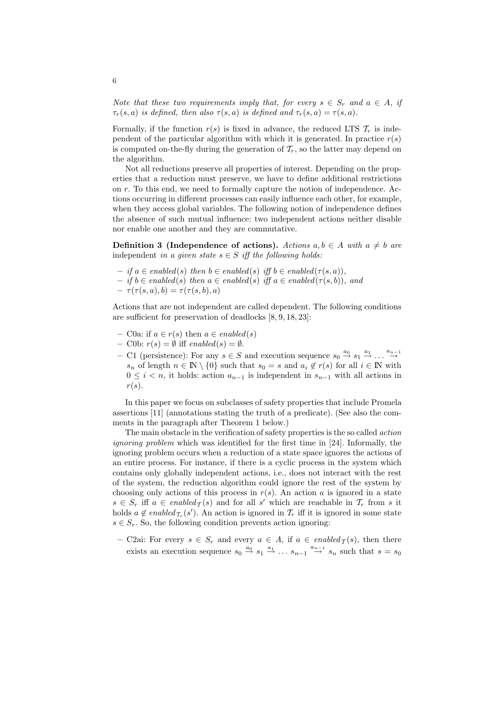Note that these two requirements imply that, for every  $s \in S_r$  and  $a \in A$ , if  $\tau_r(s, a)$  is defined, then also  $\tau(s, a)$  is defined and  $\tau_r(s, a) = \tau(s, a)$ .

Formally, if the function  $r(s)$  is fixed in advance, the reduced LTS  $\mathcal{T}_r$  is independent of the particular algorithm with which it is generated. In practice  $r(s)$ is computed on-the-fly during the generation of  $\mathcal{T}_r$ , so the latter may depend on the algorithm.

Not all reductions preserve all properties of interest. Depending on the properties that a reduction must preserve, we have to define additional restrictions on r. To this end, we need to formally capture the notion of independence. Actions occurring in different processes can easily influence each other, for example, when they access global variables. The following notion of independence defines the absence of such mutual influence: two independent actions neither disable nor enable one another and they are commutative.

**Definition 3 (Independence of actions).** Actions  $a, b \in A$  with  $a \neq b$  are independent in a given state  $s \in S$  iff the following holds:

- if a ∈ enabled(s) then b ∈ enabled(s) iff b ∈ enabled(τ(s, a)),
- if b ∈ enabled(s) then a ∈ enabled(s) iff a ∈ enabled(τ(s, b)), and
- $\tau(\tau(s, a), b) = \tau(\tau(s, b), a)$

Actions that are not independent are called dependent. The following conditions are sufficient for preservation of deadlocks [8, 9, 18, 23]:

- C0a: if  $a \in r(s)$  then  $a \in enabled(s)$
- C0b:  $r(s) = \emptyset$  iff enabled(s) =  $\emptyset$ .
- C1 (persistence): For any  $s \in S$  and execution sequence  $s_0 \stackrel{a_0}{\rightarrow} s_1 \stackrel{a_1}{\rightarrow} \dots \stackrel{a_{n-1}}{\rightarrow}$  $s_n$  of length  $n \in \mathbb{N} \setminus \{0\}$  such that  $s_0 = s$  and  $a_i \notin r(s)$  for all  $i \in \mathbb{N}$  with  $0 \leq i < n$ , it holds: action  $a_{n-1}$  is independent in  $s_{n-1}$  with all actions in  $r(s)$ .

In this paper we focus on subclasses of safety properties that include Promela assertions [11] (annotations stating the truth of a predicate). (See also the comments in the paragraph after Theorem 1 below.)

The main obstacle in the verification of safety properties is the so called action ignoring problem which was identified for the first time in [24]. Informally, the ignoring problem occurs when a reduction of a state space ignores the actions of an entire process. For instance, if there is a cyclic process in the system which contains only globally independent actions, i.e., does not interact with the rest of the system, the reduction algorithm could ignore the rest of the system by choosing only actions of this process in  $r(s)$ . An action a is ignored in a state  $s \in S_r$  iff  $a \in enabled_\mathcal{T}(s)$  and for all s' which are reachable in  $\mathcal{T}_r$  from s it holds  $a \notin enabled_{\mathcal{T}_r}(s')$ . An action is ignored in  $\mathcal{T}_r$  iff it is ignored in some state  $s \in S_r$ . So, the following condition prevents action ignoring:

– C2ai: For every  $s \in S_r$  and every  $a \in A$ , if  $a \in enabled_{\mathcal{T}}(s)$ , then there exists an execution sequence  $s_0 \stackrel{a_0}{\rightarrow} s_1 \stackrel{a_1}{\rightarrow} \dots s_{n-1} \stackrel{a_{n-1}}{\rightarrow} s_n$  such that  $s = s_0$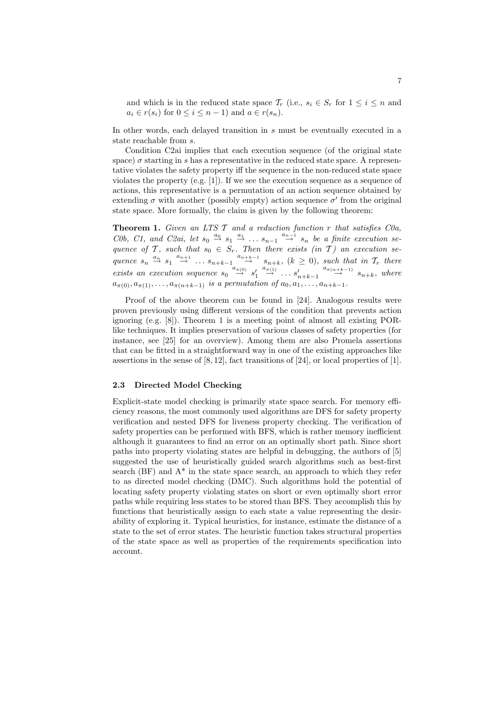and which is in the reduced state space  $\mathcal{T}_r$  (i.e.,  $s_i \in S_r$  for  $1 \leq i \leq n$  and  $a_i \in r(s_i)$  for  $0 \leq i \leq n-1$ ) and  $a \in r(s_n)$ .

In other words, each delayed transition in s must be eventually executed in a state reachable from s.

Condition C2ai implies that each execution sequence (of the original state space)  $\sigma$  starting in s has a representative in the reduced state space. A representative violates the safety property iff the sequence in the non-reduced state space violates the property (e.g. [1]). If we see the execution sequence as a sequence of actions, this representative is a permutation of an action sequence obtained by extending  $\sigma$  with another (possibly empty) action sequence  $\sigma'$  from the original state space. More formally, the claim is given by the following theorem:

**Theorem 1.** Given an LTS  $\mathcal T$  and a reduction function  $r$  that satisfies C0a, C0b, C1, and C2ai, let  $s_0 \stackrel{a_0}{\rightarrow} s_1 \stackrel{a_1}{\rightarrow} \dots s_{n-1} \stackrel{a_{n-1}}{\rightarrow} s_n$  be a finite execution sequence of T, such that  $s_0 \in S_r$ . Then there exists (in T) an execution sequence  $s_n \stackrel{a_n}{\rightarrow} s_1 \stackrel{a_{n+1}}{\rightarrow} \dots s_{n+k-1} \stackrel{a_{n+k-1}}{\rightarrow} s_{n+k}$ ,  $(k \ge 0)$ , such that in  $\mathcal{T}_r$  there exists an execution sequence  $s_0 \stackrel{a_{\pi(0)}}{\rightarrow} s'_1 \stackrel{a_{\pi(1)}}{\rightarrow} \dots s'_{n+k-1} \stackrel{a_{\pi(n+k-1)}}{\rightarrow} s_{n+k}$ , where  $a_{\pi(0)}, a_{\pi(1)}, \ldots, a_{\pi(n+k-1)}$  is a permutation of  $a_0, a_1, \ldots, a_{n+k-1}$ .

Proof of the above theorem can be found in [24]. Analogous results were proven previously using different versions of the condition that prevents action ignoring (e.g. [8]). Theorem 1 is a meeting point of almost all existing PORlike techniques. It implies preservation of various classes of safety properties (for instance, see [25] for an overview). Among them are also Promela assertions that can be fitted in a straightforward way in one of the existing approaches like assertions in the sense of  $[8, 12]$ , fact transitions of  $[24]$ , or local properties of  $[1]$ .

#### 2.3 Directed Model Checking

Explicit-state model checking is primarily state space search. For memory efficiency reasons, the most commonly used algorithms are DFS for safety property verification and nested DFS for liveness property checking. The verification of safety properties can be performed with BFS, which is rather memory inefficient although it guarantees to find an error on an optimally short path. Since short paths into property violating states are helpful in debugging, the authors of [5] suggested the use of heuristically guided search algorithms such as best-first search  $(BF)$  and  $A^*$  in the state space search, an approach to which they refer to as directed model checking (DMC). Such algorithms hold the potential of locating safety property violating states on short or even optimally short error paths while requiring less states to be stored than BFS. They accomplish this by functions that heuristically assign to each state a value representing the desirability of exploring it. Typical heuristics, for instance, estimate the distance of a state to the set of error states. The heuristic function takes structural properties of the state space as well as properties of the requirements specification into account.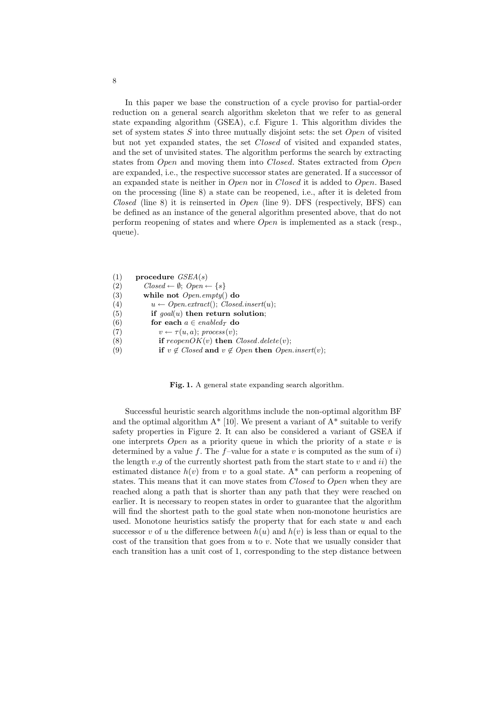In this paper we base the construction of a cycle proviso for partial-order reduction on a general search algorithm skeleton that we refer to as general state expanding algorithm (GSEA), c.f. Figure 1. This algorithm divides the set of system states  $S$  into three mutually disjoint sets: the set  $Open$  of visited but not yet expanded states, the set Closed of visited and expanded states, and the set of unvisited states. The algorithm performs the search by extracting states from Open and moving them into Closed. States extracted from Open are expanded, i.e., the respective successor states are generated. If a successor of an expanded state is neither in Open nor in Closed it is added to Open. Based on the processing (line 8) a state can be reopened, i.e., after it is deleted from Closed (line 8) it is reinserted in Open (line 9). DFS (respectively, BFS) can be defined as an instance of the general algorithm presented above, that do not perform reopening of states and where Open is implemented as a stack (resp., queue).

```
(1) procedure GSEA(s)(2) Closed \leftarrow \emptyset; Open \leftarrow \{s\}(3) while not Open.empty() do
(4) u \leftarrow Open. extract(); Closed.insert(u);(5) if goal(u) then return solution;
(6) for each a \in enabled_{\mathcal{T}} do
(7) v \leftarrow \tau(u, a); \text{ process}(v);(8) if reopenOK(v) then Closed.delete(v);(9) if v \notin Closed and v \notin Open then Open.insert(v);
```
Fig. 1. A general state expanding search algorithm.

Successful heuristic search algorithms include the non-optimal algorithm BF and the optimal algorithm  $A^*$  [10]. We present a variant of  $A^*$  suitable to verify safety properties in Figure 2. It can also be considered a variant of GSEA if one interprets Open as a priority queue in which the priority of a state  $v$  is determined by a value f. The f-value for a state v is computed as the sum of i) the length  $v.g$  of the currently shortest path from the start state to v and ii) the estimated distance  $h(v)$  from v to a goal state. A<sup>\*</sup> can perform a reopening of states. This means that it can move states from *Closed* to Open when they are reached along a path that is shorter than any path that they were reached on earlier. It is necessary to reopen states in order to guarantee that the algorithm will find the shortest path to the goal state when non-monotone heuristics are used. Monotone heuristics satisfy the property that for each state  $u$  and each successor v of u the difference between  $h(u)$  and  $h(v)$  is less than or equal to the cost of the transition that goes from  $u$  to  $v$ . Note that we usually consider that each transition has a unit cost of 1, corresponding to the step distance between

8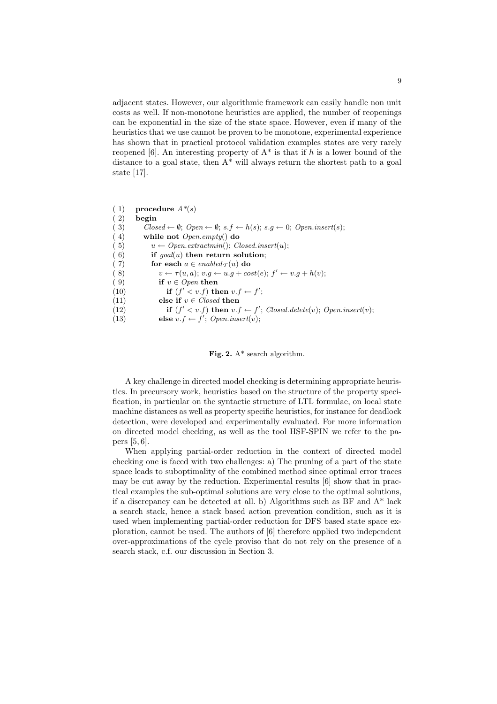adjacent states. However, our algorithmic framework can easily handle non unit costs as well. If non-monotone heuristics are applied, the number of reopenings can be exponential in the size of the state space. However, even if many of the heuristics that we use cannot be proven to be monotone, experimental experience has shown that in practical protocol validation examples states are very rarely reopened [6]. An interesting property of  $A^*$  is that if h is a lower bound of the distance to a goal state, then  $A^*$  will always return the shortest path to a goal state [17].

(1) procedure  $A^*(s)$ ( 2) begin ( 3) Closed ←  $\emptyset$ ; Open ←  $\emptyset$ ; s.f ← h(s); s.g ← 0; Open.insert(s); ( 4) while not Open.empty() do ( 5)  $u \leftarrow Open. extractmin(); Closed.insert(u);$ (6) if  $q\text{o}al(u)$  then return solution; (7) for each  $a \in enabled_{\mathcal{T}}(u)$  do (8)  $v \leftarrow \tau(u, a); v.g \leftarrow u.g + cost(e); f' \leftarrow v.g + h(v);$ (9) if  $v \in Open$  then<br>(10) if  $(f' < v.f)$  th (10) if  $(f' < v.f)$  then  $v.f \leftarrow f'$ ; (11) else if  $v \in Closed$  then (12) if  $(f' < v.f)$  then  $v.f \leftarrow f'$ ; Closed.delete(v); Open.insert(v); (13) else  $v.f \leftarrow f'$ ; Open.insert(v);

Fig. 2.  $A^*$  search algorithm.

A key challenge in directed model checking is determining appropriate heuristics. In precursory work, heuristics based on the structure of the property specification, in particular on the syntactic structure of LTL formulae, on local state machine distances as well as property specific heuristics, for instance for deadlock detection, were developed and experimentally evaluated. For more information on directed model checking, as well as the tool HSF-SPIN we refer to the papers [5, 6].

When applying partial-order reduction in the context of directed model checking one is faced with two challenges: a) The pruning of a part of the state space leads to suboptimality of the combined method since optimal error traces may be cut away by the reduction. Experimental results [6] show that in practical examples the sub-optimal solutions are very close to the optimal solutions, if a discrepancy can be detected at all. b) Algorithms such as BF and A\* lack a search stack, hence a stack based action prevention condition, such as it is used when implementing partial-order reduction for DFS based state space exploration, cannot be used. The authors of [6] therefore applied two independent over-approximations of the cycle proviso that do not rely on the presence of a search stack, c.f. our discussion in Section 3.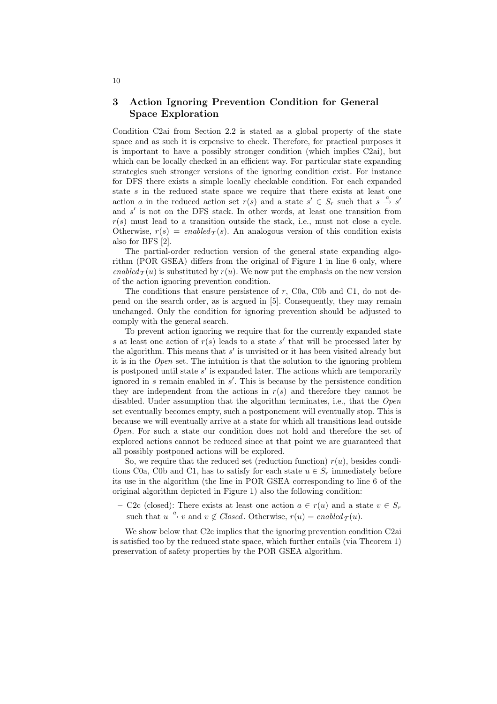## 3 Action Ignoring Prevention Condition for General Space Exploration

Condition C2ai from Section 2.2 is stated as a global property of the state space and as such it is expensive to check. Therefore, for practical purposes it is important to have a possibly stronger condition (which implies C2ai), but which can be locally checked in an efficient way. For particular state expanding strategies such stronger versions of the ignoring condition exist. For instance for DFS there exists a simple locally checkable condition. For each expanded state  $s$  in the reduced state space we require that there exists at least one action a in the reduced action set  $r(s)$  and a state  $s' \in S_r$  such that  $s \stackrel{a}{\rightarrow} s'$ and s' is not on the DFS stack. In other words, at least one transition from  $r(s)$  must lead to a transition outside the stack, i.e., must not close a cycle. Otherwise,  $r(s) = enabled<sub>T</sub>(s)$ . An analogous version of this condition exists also for BFS [2].

The partial-order reduction version of the general state expanding algorithm (POR GSEA) differs from the original of Figure 1 in line 6 only, where enabled  $\tau(u)$  is substituted by  $r(u)$ . We now put the emphasis on the new version of the action ignoring prevention condition.

The conditions that ensure persistence of  $r$ , C0a, C0b and C1, do not depend on the search order, as is argued in [5]. Consequently, they may remain unchanged. Only the condition for ignoring prevention should be adjusted to comply with the general search.

To prevent action ignoring we require that for the currently expanded state s at least one action of  $r(s)$  leads to a state s' that will be processed later by the algorithm. This means that s' is unvisited or it has been visited already but it is in the Open set. The intuition is that the solution to the ignoring problem is postponed until state  $s'$  is expanded later. The actions which are temporarily ignored in  $s$  remain enabled in  $s'$ . This is because by the persistence condition they are independent from the actions in  $r(s)$  and therefore they cannot be disabled. Under assumption that the algorithm terminates, i.e., that the *Open* set eventually becomes empty, such a postponement will eventually stop. This is because we will eventually arrive at a state for which all transitions lead outside Open. For such a state our condition does not hold and therefore the set of explored actions cannot be reduced since at that point we are guaranteed that all possibly postponed actions will be explored.

So, we require that the reduced set (reduction function)  $r(u)$ , besides conditions C0a, C0b and C1, has to satisfy for each state  $u \in S_r$  immediately before its use in the algorithm (the line in POR GSEA corresponding to line 6 of the original algorithm depicted in Figure 1) also the following condition:

– C2c (closed): There exists at least one action  $a \in r(u)$  and a state  $v \in S_r$ such that  $u \stackrel{a}{\rightarrow} v$  and  $v \notin Closed$ . Otherwise,  $r(u) = enabled_{\mathcal{T}}(u)$ .

We show below that C2c implies that the ignoring prevention condition C2ai is satisfied too by the reduced state space, which further entails (via Theorem 1) preservation of safety properties by the POR GSEA algorithm.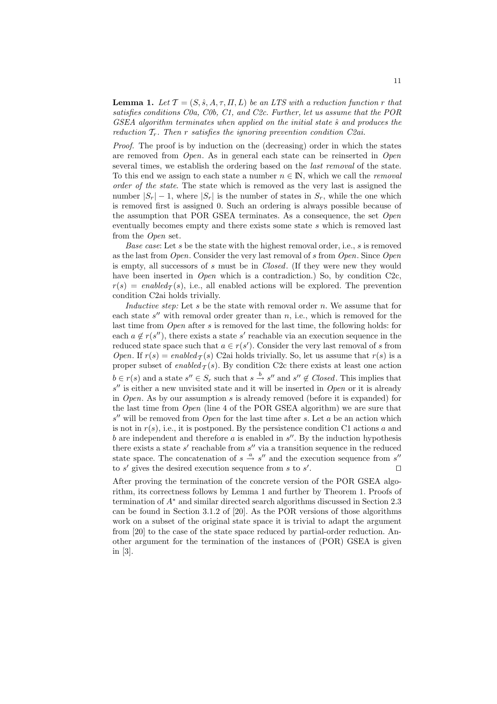**Lemma 1.** Let  $\mathcal{T} = (S, \hat{s}, A, \tau, \Pi, L)$  be an LTS with a reduction function r that satisfies conditions C0a, C0b, C1, and C2c. Further, let us assume that the POR  $GSEA$  algorithm terminates when applied on the initial state  $\hat{s}$  and produces the reduction  $T_r$ . Then r satisfies the ignoring prevention condition C2ai.

Proof. The proof is by induction on the (decreasing) order in which the states are removed from Open. As in general each state can be reinserted in Open several times, we establish the ordering based on the *last removal* of the state. To this end we assign to each state a number  $n \in \mathbb{N}$ , which we call the *removal* order of the state. The state which is removed as the very last is assigned the number  $|S_r| - 1$ , where  $|S_r|$  is the number of states in  $S_r$ , while the one which is removed first is assigned 0. Such an ordering is always possible because of the assumption that POR GSEA terminates. As a consequence, the set Open eventually becomes empty and there exists some state s which is removed last from the Open set.

Base case: Let s be the state with the highest removal order, i.e., s is removed as the last from  $Open$ . Consider the very last removal of s from  $Open$ . Since  $Open$ is empty, all successors of s must be in Closed. (If they were new they would have been inserted in *Open* which is a contradiction.) So, by condition C2c,  $r(s) = enabled_\tau(s)$ , i.e., all enabled actions will be explored. The prevention condition C2ai holds trivially.

Inductive step: Let  $s$  be the state with removal order  $n$ . We assume that for each state  $s''$  with removal order greater than  $n$ , i.e., which is removed for the last time from *Open* after s is removed for the last time, the following holds: for each  $a \notin r(s'')$ , there exists a state s' reachable via an execution sequence in the reduced state space such that  $a \in r(s')$ . Consider the very last removal of s from Open. If  $r(s) = enabled_\mathcal{T}(s)$  C2ai holds trivially. So, let us assume that  $r(s)$  is a proper subset of enabled  $\tau(s)$ . By condition C2c there exists at least one action  $b \in r(s)$  and a state  $s'' \in S_r$  such that  $s \stackrel{b}{\to} s''$  and  $s'' \notin Closed$ . This implies that  $s''$  is either a new unvisited state and it will be inserted in Open or it is already in *Open*. As by our assumption s is already removed (before it is expanded) for the last time from  $Open$  (line 4 of the POR GSEA algorithm) we are sure that  $s''$  will be removed from  $Open$  for the last time after s. Let a be an action which is not in  $r(s)$ , i.e., it is postponed. By the persistence condition C1 actions a and b are independent and therefore  $a$  is enabled in  $s''$ . By the induction hypothesis there exists a state  $s'$  reachable from  $s''$  via a transition sequence in the reduced state space. The concatenation of  $s \xrightarrow{\alpha} s''$  and the execution sequence from s'' to  $s'$  gives the desired execution sequence from  $s$  to  $s'$ . ⊓⊔

After proving the termination of the concrete version of the POR GSEA algorithm, its correctness follows by Lemma 1 and further by Theorem 1. Proofs of termination of A<sup>∗</sup> and similar directed search algorithms discussed in Section 2.3 can be found in Section 3.1.2 of [20]. As the POR versions of those algorithms work on a subset of the original state space it is trivial to adapt the argument from [20] to the case of the state space reduced by partial-order reduction. Another argument for the termination of the instances of (POR) GSEA is given in [3].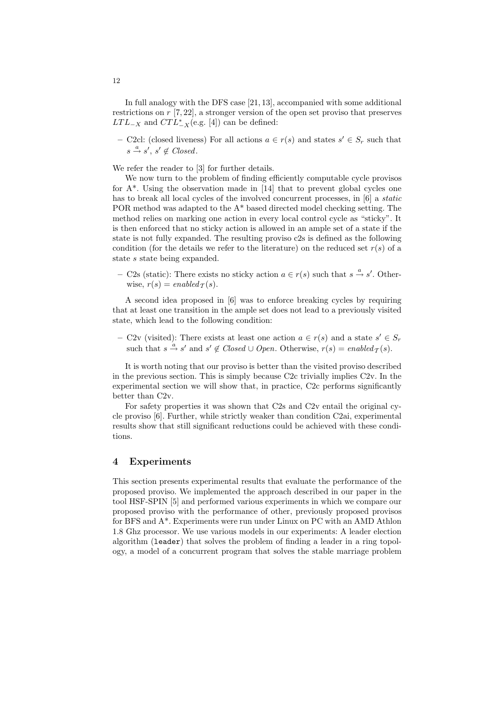In full analogy with the DFS case [21, 13], accompanied with some additional restrictions on r [7, 22], a stronger version of the open set proviso that preserves  $LTL_{-X}$  and  $CTL_{-X}^*$  (e.g. [4]) can be defined:

– C2cl: (closed liveness) For all actions  $a \in r(s)$  and states  $s' \in S_r$  such that  $s \stackrel{a}{\rightarrow} s', s' \notin Closed.$ 

We refer the reader to [3] for further details.

We now turn to the problem of finding efficiently computable cycle provisos for A\*. Using the observation made in [14] that to prevent global cycles one has to break all local cycles of the involved concurrent processes, in [6] a static POR method was adapted to the  $A^*$  based directed model checking setting. The method relies on marking one action in every local control cycle as "sticky". It is then enforced that no sticky action is allowed in an ample set of a state if the state is not fully expanded. The resulting proviso c2s is defined as the following condition (for the details we refer to the literature) on the reduced set  $r(s)$  of a state s state being expanded.

– C2s (static): There exists no sticky action  $a \in r(s)$  such that  $s \stackrel{a}{\rightarrow} s'$ . Otherwise,  $r(s) = enabled_{\mathcal{T}}(s)$ .

A second idea proposed in [6] was to enforce breaking cycles by requiring that at least one transition in the ample set does not lead to a previously visited state, which lead to the following condition:

– C2v (visited): There exists at least one action  $a \in r(s)$  and a state  $s' \in S_r$ such that  $s \stackrel{a}{\rightarrow} s'$  and  $s' \notin Closed \cup Open$ . Otherwise,  $r(s) = enabled_{\mathcal{T}}(s)$ .

It is worth noting that our proviso is better than the visited proviso described in the previous section. This is simply because C2c trivially implies C2v. In the experimental section we will show that, in practice, C2c performs significantly better than C2v.

For safety properties it was shown that C2s and C2v entail the original cycle proviso [6]. Further, while strictly weaker than condition C2ai, experimental results show that still significant reductions could be achieved with these conditions.

### 4 Experiments

This section presents experimental results that evaluate the performance of the proposed proviso. We implemented the approach described in our paper in the tool HSF-SPIN [5] and performed various experiments in which we compare our proposed proviso with the performance of other, previously proposed provisos for BFS and A\*. Experiments were run under Linux on PC with an AMD Athlon 1.8 Ghz processor. We use various models in our experiments: A leader election algorithm (leader) that solves the problem of finding a leader in a ring topology, a model of a concurrent program that solves the stable marriage problem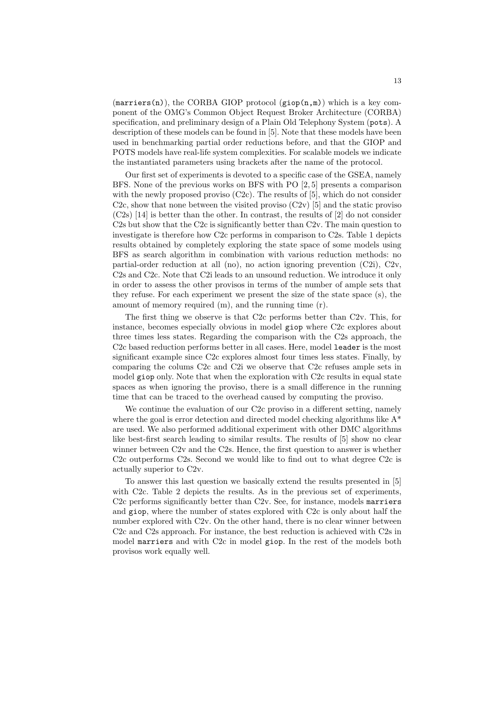$(\text{marriers}(n))$ , the CORBA GIOP protocol  $(\text{giop}(n,m))$  which is a key component of the OMG's Common Object Request Broker Architecture (CORBA) specification, and preliminary design of a Plain Old Telephony System (pots). A description of these models can be found in [5]. Note that these models have been used in benchmarking partial order reductions before, and that the GIOP and POTS models have real-life system complexities. For scalable models we indicate the instantiated parameters using brackets after the name of the protocol.

Our first set of experiments is devoted to a specific case of the GSEA, namely BFS. None of the previous works on BFS with PO [2, 5] presents a comparison with the newly proposed proviso  $(C2c)$ . The results of [5], which do not consider C2c, show that none between the visited proviso  $(C2v)$  [5] and the static proviso (C2s) [14] is better than the other. In contrast, the results of [2] do not consider C2s but show that the C2c is significantly better than C2v. The main question to investigate is therefore how C2c performs in comparison to C2s. Table 1 depicts results obtained by completely exploring the state space of some models using BFS as search algorithm in combination with various reduction methods: no partial-order reduction at all (no), no action ignoring prevention (C2i), C2v, C2s and C2c. Note that C2i leads to an unsound reduction. We introduce it only in order to assess the other provisos in terms of the number of ample sets that they refuse. For each experiment we present the size of the state space (s), the amount of memory required (m), and the running time (r).

The first thing we observe is that C2c performs better than C2v. This, for instance, becomes especially obvious in model giop where C2c explores about three times less states. Regarding the comparison with the C2s approach, the C2c based reduction performs better in all cases. Here, model leader is the most significant example since C2c explores almost four times less states. Finally, by comparing the colums C2c and C2i we observe that C2c refuses ample sets in model giop only. Note that when the exploration with C2c results in equal state spaces as when ignoring the proviso, there is a small difference in the running time that can be traced to the overhead caused by computing the proviso.

We continue the evaluation of our C2c proviso in a different setting, namely where the goal is error detection and directed model checking algorithms like  $A^*$ are used. We also performed additional experiment with other DMC algorithms like best-first search leading to similar results. The results of [5] show no clear winner between C2v and the C2s. Hence, the first question to answer is whether C2c outperforms C2s. Second we would like to find out to what degree C2c is actually superior to C2v.

To answer this last question we basically extend the results presented in [5] with C2c. Table 2 depicts the results. As in the previous set of experiments, C2c performs significantly better than C2v. See, for instance, models marriers and giop, where the number of states explored with C2c is only about half the number explored with C2v. On the other hand, there is no clear winner between C2c and C2s approach. For instance, the best reduction is achieved with C2s in model marriers and with C2c in model giop. In the rest of the models both provisos work equally well.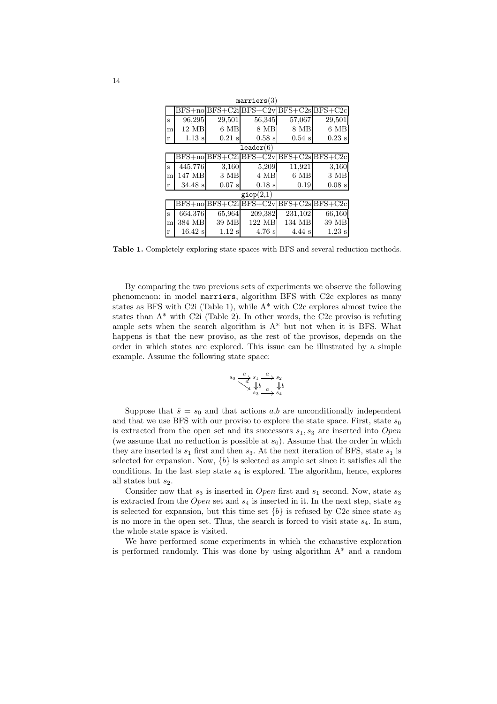| marriers(3)          |           |                  |                                                    |                   |                  |  |  |  |  |  |
|----------------------|-----------|------------------|----------------------------------------------------|-------------------|------------------|--|--|--|--|--|
|                      |           |                  | $BFS + no BFS + C2i BFS + C2v BFS + C2s BFS + C2c$ |                   |                  |  |  |  |  |  |
| S                    | 96,295    | 29,501           | 56,345                                             | 57,067            | 29,501           |  |  |  |  |  |
| m                    | 12 MB     | 6 MB             | 8 MB                                               | 8 MB              | $6\;\mathrm{MB}$ |  |  |  |  |  |
| r                    | $1.13$ s  | $0.21$ s         | $0.58$ s                                           | $0.54$ s          | $0.23$ s         |  |  |  |  |  |
| $\texttt{leader}(6)$ |           |                  |                                                    |                   |                  |  |  |  |  |  |
|                      |           |                  | $BFS + no BFS + C2i BFS + C2v BFS + C2s BFS + C2c$ |                   |                  |  |  |  |  |  |
| S                    | 445,776   | 3.160            | 5,209                                              | 11,921            | 3.160            |  |  |  |  |  |
| m                    | 147 MB    | $3\ \mathrm{MB}$ | 4 MB                                               | 6 MB              | 3 MB             |  |  |  |  |  |
| r                    | $34.48$ s | $0.07$ s         | $0.18$ s                                           | 0.19              | $0.08$ s         |  |  |  |  |  |
| $\textsf{giop}(2,1)$ |           |                  |                                                    |                   |                  |  |  |  |  |  |
|                      |           |                  | $BFS + no BFS + C2i BFS + C2v BFS + C2s BFS + C2c$ |                   |                  |  |  |  |  |  |
| S                    | 664,376   | 65,964           | 209,382                                            | 231,102           | 66,160           |  |  |  |  |  |
| m                    | 384 MB    | 39 MB            | 122 MB                                             | 134 MB            | 39 MB            |  |  |  |  |  |
| r                    | $16.42$ s | $1.12$ s         | $4.76$ s                                           | $4.44 \mathrm{s}$ | $1.23$ s         |  |  |  |  |  |

Table 1. Completely exploring state spaces with BFS and several reduction methods.

By comparing the two previous sets of experiments we observe the following phenomenon: in model marriers, algorithm BFS with C2c explores as many states as BFS with C2i (Table 1), while A\* with C2c explores almost twice the states than  $A^*$  with C2i (Table 2). In other words, the C2c proviso is refuting ample sets when the search algorithm is  $A^*$  but not when it is BFS. What happens is that the new proviso, as the rest of the provisos, depends on the order in which states are explored. This issue can be illustrated by a simple example. Assume the following state space:

$$
s_0 \xrightarrow{c} s_1 \xrightarrow{a} s_2
$$
  

$$
s_3 \xrightarrow{b} s_4
$$
  

$$
s_3 \xrightarrow{a} s_4
$$

Suppose that  $\hat{s} = s_0$  and that actions a,b are unconditionally independent and that we use BFS with our proviso to explore the state space. First, state  $s_0$ is extracted from the open set and its successors  $s_1, s_3$  are inserted into Open (we assume that no reduction is possible at  $s_0$ ). Assume that the order in which they are inserted is  $s_1$  first and then  $s_3$ . At the next iteration of BFS, state  $s_1$  is selected for expansion. Now,  $\{b\}$  is selected as ample set since it satisfies all the conditions. In the last step state  $s_4$  is explored. The algorithm, hence, explores all states but  $s_2$ .

Consider now that  $s_3$  is inserted in *Open* first and  $s_1$  second. Now, state  $s_3$ is extracted from the *Open* set and  $s_4$  is inserted in it. In the next step, state  $s_2$ is selected for expansion, but this time set  ${b}$  is refused by C2c since state  $s_3$ is no more in the open set. Thus, the search is forced to visit state  $s<sub>4</sub>$ . In sum, the whole state space is visited.

We have performed some experiments in which the exhaustive exploration is performed randomly. This was done by using algorithm  $A^*$  and a random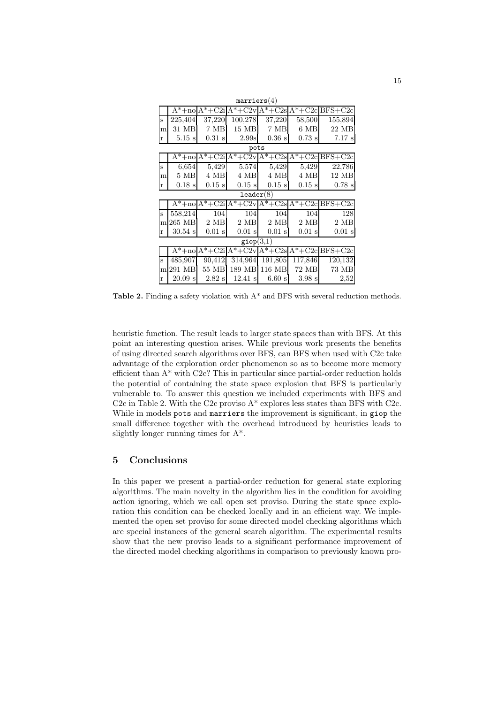| marriers(4)          |                  |                      |               |               |               |                                                                  |  |  |  |  |
|----------------------|------------------|----------------------|---------------|---------------|---------------|------------------------------------------------------------------|--|--|--|--|
|                      |                  |                      |               |               |               | $A^*$ +no $A^*$ +C2i $A^*$ +C2v $A^*$ +C2s $A^*$ +C2c $BFS$ +C2c |  |  |  |  |
| S                    | 225,404          | 37,220               | 100,278       | 37,220        | 58,500        | 155,894                                                          |  |  |  |  |
| m                    | 31 MB            | 7 MB                 | $15$ MB       | 7 MB          | $6\text{ MB}$ | 22 MB                                                            |  |  |  |  |
| $\bf r$              | $5.15$ s         | $0.31$ s             | 2.99s         | $0.36$ s      | $0.73$ s      | $7.17$ s                                                         |  |  |  |  |
| pots                 |                  |                      |               |               |               |                                                                  |  |  |  |  |
|                      |                  | $A^*$ +no $A^*$ +C2i |               |               |               | $A*+C2v$ $A*+C2s$ $A*+C2c$ BFS+C2c                               |  |  |  |  |
| S                    | 6,654            | 5,429                | 5,574         | 5,429         | 5,429         | 22,786                                                           |  |  |  |  |
| m                    | $5\;\mathrm{MB}$ | 4 MB                 | 4 MB          | 4 MB          | 4 MB          | 12 MB                                                            |  |  |  |  |
| r                    | $0.18$ s         | $0.15$ s             | $0.15$ s      | $0.15$ s      | $0.15$ s      | $0.78$ s                                                         |  |  |  |  |
| leader(8)            |                  |                      |               |               |               |                                                                  |  |  |  |  |
|                      |                  | $A^*$ +no $A^*$ +C2i |               |               |               | $A*+C2vA*+C2sA*+C2cBFS+C2c$                                      |  |  |  |  |
| S                    | 558,214          | 104                  | 104           | 104           | 104           | 128                                                              |  |  |  |  |
| m                    | 265 MB           | $2\text{ MB}$        | $2\text{ MB}$ | $2\text{ MB}$ | $2\text{ MB}$ | $2\text{ MB}$                                                    |  |  |  |  |
| $\bf r$              | $30.54$ s        | $0.01$ s             | $0.01$ s      | $0.01$ s      | $0.01$ s      | $0.01$ s                                                         |  |  |  |  |
| $\mathsf{giop}(3,1)$ |                  |                      |               |               |               |                                                                  |  |  |  |  |
|                      |                  |                      |               |               |               | $A^*$ +no $A^*$ +C2i $A^*$ +C2v $A^*$ +C2s $A^*$ +C2s $B^*$ +C2c |  |  |  |  |
| S                    | 485,907          | 90,412               | 314,964       | 191,805       | 117,846       | 120,132                                                          |  |  |  |  |
| m                    | 291 MB           | 55 MB                | 189 MB        | 116 MB        | 72 MB         | 73 MB                                                            |  |  |  |  |
| r                    | $20.09$ s        | $2.82$ s             | $12.41$ s     | 6.60 s        | 3.98 s        | 2,52                                                             |  |  |  |  |

Table 2. Finding a safety violation with  $A^*$  and BFS with several reduction methods.

heuristic function. The result leads to larger state spaces than with BFS. At this point an interesting question arises. While previous work presents the benefits of using directed search algorithms over BFS, can BFS when used with C2c take advantage of the exploration order phenomenon so as to become more memory efficient than A\* with C2c? This in particular since partial-order reduction holds the potential of containing the state space explosion that BFS is particularly vulnerable to. To answer this question we included experiments with BFS and C2c in Table 2. With the C2c proviso  $A^*$  explores less states than BFS with C2c. While in models pots and marriers the improvement is significant, in giop the small difference together with the overhead introduced by heuristics leads to slightly longer running times for A\*.

#### 5 Conclusions

In this paper we present a partial-order reduction for general state exploring algorithms. The main novelty in the algorithm lies in the condition for avoiding action ignoring, which we call open set proviso. During the state space exploration this condition can be checked locally and in an efficient way. We implemented the open set proviso for some directed model checking algorithms which are special instances of the general search algorithm. The experimental results show that the new proviso leads to a significant performance improvement of the directed model checking algorithms in comparison to previously known pro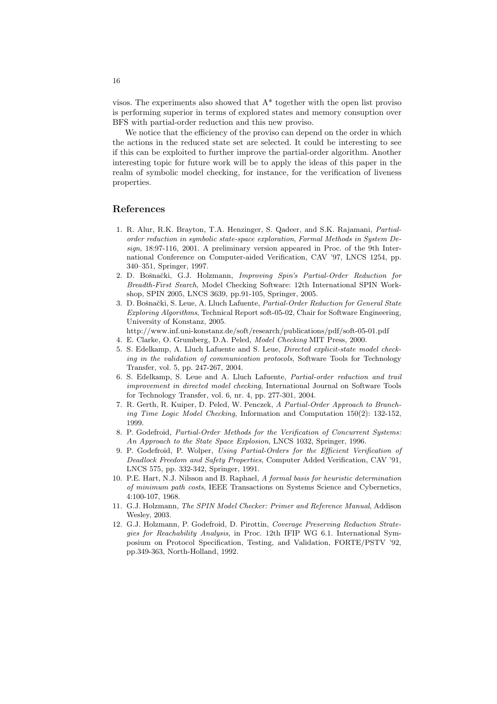visos. The experiments also showed that A\* together with the open list proviso is performing superior in terms of explored states and memory consuption over BFS with partial-order reduction and this new proviso.

We notice that the efficiency of the proviso can depend on the order in which the actions in the reduced state set are selected. It could be interesting to see if this can be exploited to further improve the partial-order algorithm. Another interesting topic for future work will be to apply the ideas of this paper in the realm of symbolic model checking, for instance, for the verification of liveness properties.

## References

- 1. R. Alur, R.K. Brayton, T.A. Henzinger, S. Qadeer, and S.K. Rajamani, Partialorder reduction in symbolic state-space exploration, Formal Methods in System Design, 18:97-116, 2001. A preliminary version appeared in Proc. of the 9th International Conference on Computer-aided Verification, CAV '97, LNCS 1254, pp. 340–351, Springer, 1997.
- 2. D. Bošnački, G.J. Holzmann, Improving Spin's Partial-Order Reduction for Breadth-First Search, Model Checking Software: 12th International SPIN Workshop, SPIN 2005, LNCS 3639, pp.91-105, Springer, 2005.
- 3. D. Bošnački, S. Leue, A. Lluch Lafuente, Partial-Order Reduction for General State Exploring Algorithms, Technical Report soft-05-02, Chair for Software Engineering, University of Konstanz, 2005.
	- http://www.inf.uni-konstanz.de/soft/research/publications/pdf/soft-05-01.pdf
- 4. E. Clarke, O. Grumberg, D.A. Peled, Model Checking MIT Press, 2000.
- 5. S. Edelkamp, A. Lluch Lafuente and S. Leue, Directed explicit-state model checking in the validation of communication protocols, Software Tools for Technology Transfer, vol. 5, pp. 247-267, 2004.
- 6. S. Edelkamp, S. Leue and A. Lluch Lafuente, Partial-order reduction and trail improvement in directed model checking, International Journal on Software Tools for Technology Transfer, vol. 6, nr. 4, pp. 277-301, 2004.
- 7. R. Gerth, R. Kuiper, D. Peled, W. Penczek, A Partial-Order Approach to Branching Time Logic Model Checking, Information and Computation 150(2): 132-152, 1999.
- 8. P. Godefroid, Partial-Order Methods for the Verification of Concurrent Systems: An Approach to the State Space Explosion, LNCS 1032, Springer, 1996.
- 9. P. Godefroid, P. Wolper, Using Partial-Orders for the Efficient Verification of Deadlock Freedom and Safety Properties, Computer Added Verification, CAV '91, LNCS 575, pp. 332-342, Springer, 1991.
- 10. P.E. Hart, N.J. Nilsson and B. Raphael, A formal basis for heuristic determination of minimum path costs, IEEE Transactions on Systems Science and Cybernetics, 4:100-107, 1968.
- 11. G.J. Holzmann, The SPIN Model Checker: Primer and Reference Manual, Addison Wesley, 2003.
- 12. G.J. Holzmann, P. Godefroid, D. Pirottin, Coverage Preserving Reduction Strategies for Reachability Analysis, in Proc. 12th IFIP WG 6.1. International Symposium on Protocol Specification, Testing, and Validation, FORTE/PSTV '92, pp.349-363, North-Holland, 1992.

16